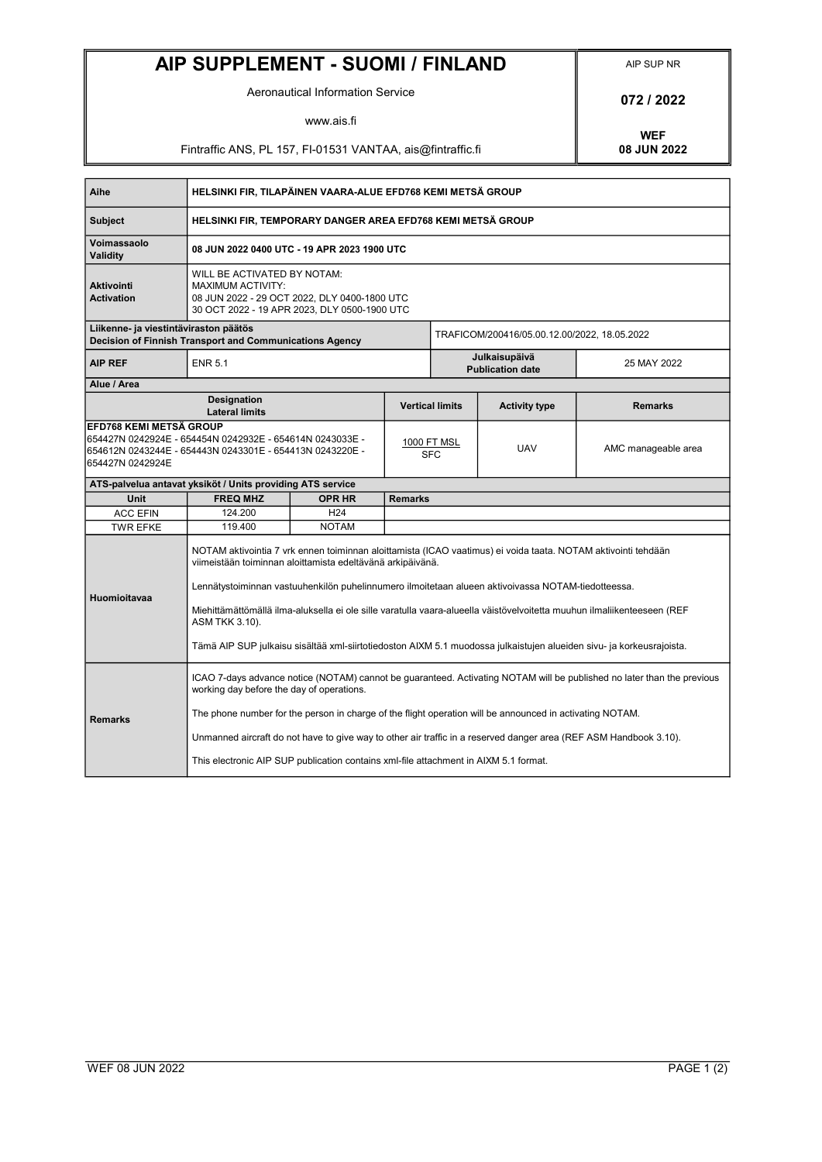## AIP SUPPLEMENT - SUOMI / FINLAND AIP SUP NR

Aeronautical Information Service **1988 1989 12022** 

www.ais.fi

Fintraffic ANS, PL 157, FI-01531 VANTAA, ais@fintraffic.fi

WEF<br>08 JUN 2022

| Aihe                                                                                                                                                                | HELSINKI FIR, TILAPÄINEN VAARA-ALUE EFD768 KEMI METSÄ GROUP                                                                                                                                                                                                                                                                                                                                                                                                                                                                                            |                 |                           |                                              |                      |                     |  |
|---------------------------------------------------------------------------------------------------------------------------------------------------------------------|--------------------------------------------------------------------------------------------------------------------------------------------------------------------------------------------------------------------------------------------------------------------------------------------------------------------------------------------------------------------------------------------------------------------------------------------------------------------------------------------------------------------------------------------------------|-----------------|---------------------------|----------------------------------------------|----------------------|---------------------|--|
| <b>Subject</b>                                                                                                                                                      | HELSINKI FIR, TEMPORARY DANGER AREA EFD768 KEMI METSÄ GROUP                                                                                                                                                                                                                                                                                                                                                                                                                                                                                            |                 |                           |                                              |                      |                     |  |
| Voimassaolo<br>Validity                                                                                                                                             | 08 JUN 2022 0400 UTC - 19 APR 2023 1900 UTC                                                                                                                                                                                                                                                                                                                                                                                                                                                                                                            |                 |                           |                                              |                      |                     |  |
| Aktivointi<br><b>Activation</b>                                                                                                                                     | WILL BE ACTIVATED BY NOTAM:<br><b>MAXIMUM ACTIVITY:</b><br>08 JUN 2022 - 29 OCT 2022, DLY 0400-1800 UTC<br>30 OCT 2022 - 19 APR 2023, DLY 0500-1900 UTC                                                                                                                                                                                                                                                                                                                                                                                                |                 |                           |                                              |                      |                     |  |
| Liikenne- ja viestintäviraston päätös<br>Decision of Finnish Transport and Communications Agency                                                                    |                                                                                                                                                                                                                                                                                                                                                                                                                                                                                                                                                        |                 |                           | TRAFICOM/200416/05.00.12.00/2022, 18.05.2022 |                      |                     |  |
| <b>AIP REF</b>                                                                                                                                                      | <b>ENR 5.1</b>                                                                                                                                                                                                                                                                                                                                                                                                                                                                                                                                         |                 |                           | Julkaisupäivä<br><b>Publication date</b>     |                      | 25 MAY 2022         |  |
| Alue / Area                                                                                                                                                         |                                                                                                                                                                                                                                                                                                                                                                                                                                                                                                                                                        |                 |                           |                                              |                      |                     |  |
|                                                                                                                                                                     | <b>Designation</b><br><b>Lateral limits</b>                                                                                                                                                                                                                                                                                                                                                                                                                                                                                                            |                 |                           | <b>Vertical limits</b>                       | <b>Activity type</b> | <b>Remarks</b>      |  |
| EFD768 KEMI METSÄ GROUP<br>654427N 0242924E - 654454N 0242932E - 654614N 0243033E -<br>654612N 0243244E - 654443N 0243301E - 654413N 0243220E -<br>654427N 0242924E |                                                                                                                                                                                                                                                                                                                                                                                                                                                                                                                                                        |                 | 1000 FT MSL<br><b>SFC</b> |                                              | <b>UAV</b>           | AMC manageable area |  |
| ATS-palvelua antavat yksiköt / Units providing ATS service                                                                                                          |                                                                                                                                                                                                                                                                                                                                                                                                                                                                                                                                                        |                 |                           |                                              |                      |                     |  |
| Unit                                                                                                                                                                | <b>FREQ MHZ</b>                                                                                                                                                                                                                                                                                                                                                                                                                                                                                                                                        | <b>OPR HR</b>   | <b>Remarks</b>            |                                              |                      |                     |  |
| <b>ACC EFIN</b>                                                                                                                                                     | 124.200                                                                                                                                                                                                                                                                                                                                                                                                                                                                                                                                                | H <sub>24</sub> |                           |                                              |                      |                     |  |
| <b>TWR EFKE</b>                                                                                                                                                     | 119.400                                                                                                                                                                                                                                                                                                                                                                                                                                                                                                                                                | <b>NOTAM</b>    |                           |                                              |                      |                     |  |
| Huomioitavaa                                                                                                                                                        | NOTAM aktivointia 7 vrk ennen toiminnan aloittamista (ICAO vaatimus) ei voida taata. NOTAM aktivointi tehdään<br>viimeistään toiminnan aloittamista edeltävänä arkipäivänä.<br>Lennätystoiminnan vastuuhenkilön puhelinnumero ilmoitetaan alueen aktivoivassa NOTAM-tiedotteessa.<br>Miehittämättömällä ilma-aluksella ei ole sille varatulla vaara-alueella väistövelvoitetta muuhun ilmaliikenteeseen (REF<br>ASM TKK 3.10).<br>Tämä AIP SUP julkaisu sisältää xml-siirtotiedoston AIXM 5.1 muodossa julkaistujen alueiden sivu- ja korkeusrajoista. |                 |                           |                                              |                      |                     |  |
| <b>Remarks</b>                                                                                                                                                      | ICAO 7-days advance notice (NOTAM) cannot be guaranteed. Activating NOTAM will be published no later than the previous<br>working day before the day of operations.<br>The phone number for the person in charge of the flight operation will be announced in activating NOTAM.                                                                                                                                                                                                                                                                        |                 |                           |                                              |                      |                     |  |
|                                                                                                                                                                     | Unmanned aircraft do not have to give way to other air traffic in a reserved danger area (REF ASM Handbook 3.10).                                                                                                                                                                                                                                                                                                                                                                                                                                      |                 |                           |                                              |                      |                     |  |
|                                                                                                                                                                     | This electronic AIP SUP publication contains xml-file attachment in AIXM 5.1 format.                                                                                                                                                                                                                                                                                                                                                                                                                                                                   |                 |                           |                                              |                      |                     |  |